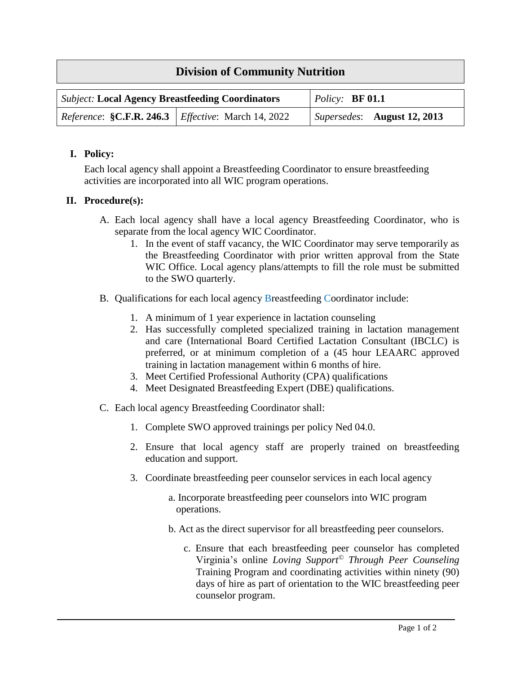## **Division of Community Nutrition**

| <b>Subject: Local Agency Breastfeeding Coordinators</b>             |  | $Policy:$ <b>BF 01.1</b> |                             |
|---------------------------------------------------------------------|--|--------------------------|-----------------------------|
| <i>Reference</i> : $C.F.R. 246.3$ <i>Effective</i> : March 14, 2022 |  |                          | Supersedes: August 12, 2013 |

## **I. Policy:**

Each local agency shall appoint a Breastfeeding Coordinator to ensure breastfeeding activities are incorporated into all WIC program operations.

## **II. Procedure(s):**

- A. Each local agency shall have a local agency Breastfeeding Coordinator, who is separate from the local agency WIC Coordinator.
	- 1. In the event of staff vacancy, the WIC Coordinator may serve temporarily as the Breastfeeding Coordinator with prior written approval from the State WIC Office. Local agency plans/attempts to fill the role must be submitted to the SWO quarterly.
- B. Qualifications for each local agency Breastfeeding Coordinator include:
	- 1. A minimum of 1 year experience in lactation counseling
	- 2. Has successfully completed specialized training in lactation management and care (International Board Certified Lactation Consultant (IBCLC) is preferred, or at minimum completion of a (45 hour LEAARC approved training in lactation management within 6 months of hire.
	- 3. Meet Certified Professional Authority (CPA) qualifications
	- 4. Meet Designated Breastfeeding Expert (DBE) qualifications.
- C. Each local agency Breastfeeding Coordinator shall:
	- 1. Complete SWO approved trainings per policy Ned 04.0.
	- 2. Ensure that local agency staff are properly trained on breastfeeding education and support.
	- 3. Coordinate breastfeeding peer counselor services in each local agency
		- a. Incorporate breastfeeding peer counselors into WIC program operations.
		- b. Act as the direct supervisor for all breastfeeding peer counselors.
			- c. Ensure that each breastfeeding peer counselor has completed Virginia's online *Loving Support© Through Peer Counseling* Training Program and coordinating activities within ninety (90) days of hire as part of orientation to the WIC breastfeeding peer counselor program.